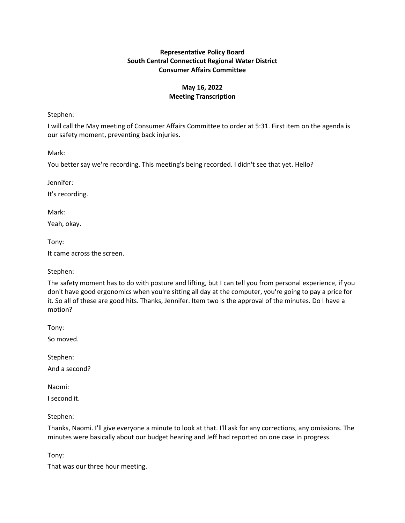# **Representative Policy Board South Central Connecticut Regional Water District Consumer Affairs Committee**

# **May 16, 2022 Meeting Transcription**

Stephen:

I will call the May meeting of Consumer Affairs Committee to order at 5:31. First item on the agenda is our safety moment, preventing back injuries.

Mark:

You better say we're recording. This meeting's being recorded. I didn't see that yet. Hello?

Jennifer:

It's recording.

Mark:

Yeah, okay.

Tony:

It came across the screen.

Stephen:

The safety moment has to do with posture and lifting, but I can tell you from personal experience, if you don't have good ergonomics when you're sitting all day at the computer, you're going to pay a price for it. So all of these are good hits. Thanks, Jennifer. Item two is the approval of the minutes. Do I have a motion?

Tony:

So moved.

Stephen:

And a second?

Naomi:

I second it.

Stephen:

Thanks, Naomi. I'll give everyone a minute to look at that. I'll ask for any corrections, any omissions. The minutes were basically about our budget hearing and Jeff had reported on one case in progress.

Tony:

That was our three hour meeting.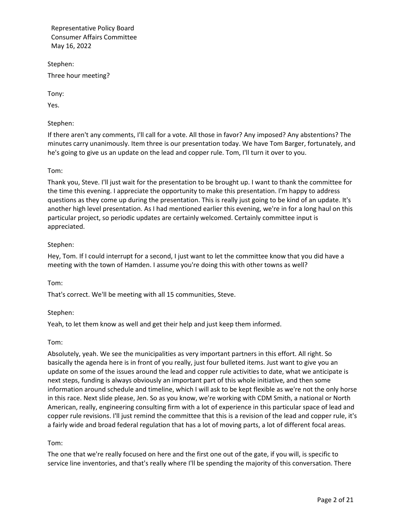Stephen: Three hour meeting?

Tony:

Yes.

Stephen:

If there aren't any comments, I'll call for a vote. All those in favor? Any imposed? Any abstentions? The minutes carry unanimously. Item three is our presentation today. We have Tom Barger, fortunately, and he's going to give us an update on the lead and copper rule. Tom, I'll turn it over to you.

# Tom:

Thank you, Steve. I'll just wait for the presentation to be brought up. I want to thank the committee for the time this evening. I appreciate the opportunity to make this presentation. I'm happy to address questions as they come up during the presentation. This is really just going to be kind of an update. It's another high level presentation. As I had mentioned earlier this evening, we're in for a long haul on this particular project, so periodic updates are certainly welcomed. Certainly committee input is appreciated.

## Stephen:

Hey, Tom. If I could interrupt for a second, I just want to let the committee know that you did have a meeting with the town of Hamden. I assume you're doing this with other towns as well?

Tom:

That's correct. We'll be meeting with all 15 communities, Steve.

# Stephen:

Yeah, to let them know as well and get their help and just keep them informed.

## Tom:

Absolutely, yeah. We see the municipalities as very important partners in this effort. All right. So basically the agenda here is in front of you really, just four bulleted items. Just want to give you an update on some of the issues around the lead and copper rule activities to date, what we anticipate is next steps, funding is always obviously an important part of this whole initiative, and then some information around schedule and timeline, which I will ask to be kept flexible as we're not the only horse in this race. Next slide please, Jen. So as you know, we're working with CDM Smith, a national or North American, really, engineering consulting firm with a lot of experience in this particular space of lead and copper rule revisions. I'll just remind the committee that this is a revision of the lead and copper rule, it's a fairly wide and broad federal regulation that has a lot of moving parts, a lot of different focal areas.

## Tom:

The one that we're really focused on here and the first one out of the gate, if you will, is specific to service line inventories, and that's really where I'll be spending the majority of this conversation. There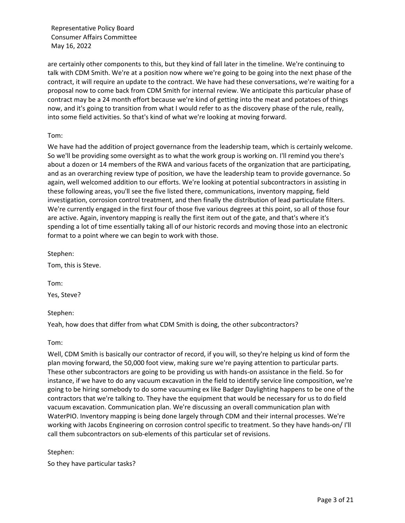are certainly other components to this, but they kind of fall later in the timeline. We're continuing to talk with CDM Smith. We're at a position now where we're going to be going into the next phase of the contract, it will require an update to the contract. We have had these conversations, we're waiting for a proposal now to come back from CDM Smith for internal review. We anticipate this particular phase of contract may be a 24 month effort because we're kind of getting into the meat and potatoes of things now, and it's going to transition from what I would refer to as the discovery phase of the rule, really, into some field activities. So that's kind of what we're looking at moving forward.

### Tom:

We have had the addition of project governance from the leadership team, which is certainly welcome. So we'll be providing some oversight as to what the work group is working on. I'll remind you there's about a dozen or 14 members of the RWA and various facets of the organization that are participating, and as an overarching review type of position, we have the leadership team to provide governance. So again, well welcomed addition to our efforts. We're looking at potential subcontractors in assisting in these following areas, you'll see the five listed there, communications, inventory mapping, field investigation, corrosion control treatment, and then finally the distribution of lead particulate filters. We're currently engaged in the first four of those five various degrees at this point, so all of those four are active. Again, inventory mapping is really the first item out of the gate, and that's where it's spending a lot of time essentially taking all of our historic records and moving those into an electronic format to a point where we can begin to work with those.

Stephen:

Tom, this is Steve.

Tom:

Yes, Steve?

## Stephen:

Yeah, how does that differ from what CDM Smith is doing, the other subcontractors?

Tom:

Well, CDM Smith is basically our contractor of record, if you will, so they're helping us kind of form the plan moving forward, the 50,000 foot view, making sure we're paying attention to particular parts. These other subcontractors are going to be providing us with hands-on assistance in the field. So for instance, if we have to do any vacuum excavation in the field to identify service line composition, we're going to be hiring somebody to do some vacuuming ex like Badger Daylighting happens to be one of the contractors that we're talking to. They have the equipment that would be necessary for us to do field vacuum excavation. Communication plan. We're discussing an overall communication plan with WaterPIO. Inventory mapping is being done largely through CDM and their internal processes. We're working with Jacobs Engineering on corrosion control specific to treatment. So they have hands-on/ I'll call them subcontractors on sub-elements of this particular set of revisions.

## Stephen:

So they have particular tasks?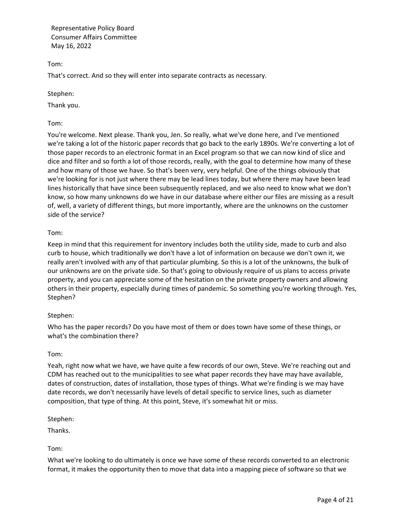Tom:

That's correct. And so they will enter into separate contracts as necessary.

Stephen:

Thank you.

# Tom:

You're welcome. Next please. Thank you, Jen. So really, what we've done here, and I've mentioned we're taking a lot of the historic paper records that go back to the early 1890s. We're converting a lot of those paper records to an electronic format in an Excel program so that we can now kind of slice and dice and filter and so forth a lot of those records, really, with the goal to determine how many of these and how many of those we have. So that's been very, very helpful. One of the things obviously that we're looking for is not just where there may be lead lines today, but where there may have been lead lines historically that have since been subsequently replaced, and we also need to know what we don't know, so how many unknowns do we have in our database where either our files are missing as a result of, well, a variety of different things, but more importantly, where are the unknowns on the customer side of the service?

# Tom:

Keep in mind that this requirement for inventory includes both the utility side, made to curb and also curb to house, which traditionally we don't have a lot of information on because we don't own it, we really aren't involved with any of that particular plumbing. So this is a lot of the unknowns, the bulk of our unknowns are on the private side. So that's going to obviously require of us plans to access private property, and you can appreciate some of the hesitation on the private property owners and allowing others in their property, especially during times of pandemic. So something you're working through. Yes, Stephen?

## Stephen:

Who has the paper records? Do you have most of them or does town have some of these things, or what's the combination there?

## Tom:

Yeah, right now what we have, we have quite a few records of our own, Steve. We're reaching out and CDM has reached out to the municipalities to see what paper records they have may have available, dates of construction, dates of installation, those types of things. What we're finding is we may have date records, we don't necessarily have levels of detail specific to service lines, such as diameter composition, that type of thing. At this point, Steve, it's somewhat hit or miss.

## Stephen:

Thanks.

Tom:

What we're looking to do ultimately is once we have some of these records converted to an electronic format, it makes the opportunity then to move that data into a mapping piece of software so that we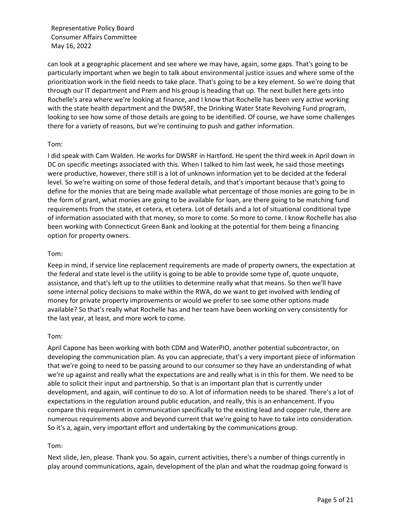can look at a geographic placement and see where we may have, again, some gaps. That's going to be particularly important when we begin to talk about environmental justice issues and where some of the prioritization work in the field needs to take place. That's going to be a key element. So we're doing that through our IT department and Prem and his group is heading that up. The next bullet here gets into Rochelle's area where we're looking at finance, and I know that Rochelle has been very active working with the state health department and the DWSRF, the Drinking Water State Revolving Fund program, looking to see how some of those details are going to be identified. Of course, we have some challenges there for a variety of reasons, but we're continuing to push and gather information.

### Tom:

I did speak with Cam Walden. He works for DWSRF in Hartford. He spent the third week in April down in DC on specific meetings associated with this. When I talked to him last week, he said those meetings were productive, however, there still is a lot of unknown information yet to be decided at the federal level. So we're waiting on some of those federal details, and that's important because that's going to define for the monies that are being made available what percentage of those monies are going to be in the form of grant, what monies are going to be available for loan, are there going to be matching fund requirements from the state, et cetera, et cetera. Lot of details and a lot of situational conditional type of information associated with that money, so more to come. So more to come. I know Rochelle has also been working with Connecticut Green Bank and looking at the potential for them being a financing option for property owners.

### Tom:

Keep in mind, if service line replacement requirements are made of property owners, the expectation at the federal and state level is the utility is going to be able to provide some type of, quote unquote, assistance, and that's left up to the utilities to determine really what that means. So then we'll have some internal policy decisions to make within the RWA, do we want to get involved with lending of money for private property improvements or would we prefer to see some other options made available? So that's really what Rochelle has and her team have been working on very consistently for the last year, at least, and more work to come.

#### Tom:

April Capone has been working with both CDM and WaterPIO, another potential subcontractor, on developing the communication plan. As you can appreciate, that's a very important piece of information that we're going to need to be passing around to our consumer so they have an understanding of what we're up against and really what the expectations are and really what is in this for them. We need to be able to solicit their input and partnership. So that is an important plan that is currently under development, and again, will continue to do so. A lot of information needs to be shared. There's a lot of expectations in the regulation around public education, and really, this is an enhancement. If you compare this requirement in communication specifically to the existing lead and copper rule, there are numerous requirements above and beyond current that we're going to have to take into consideration. So it's a, again, very important effort and undertaking by the communications group.

## Tom:

Next slide, Jen, please. Thank you. So again, current activities, there's a number of things currently in play around communications, again, development of the plan and what the roadmap going forward is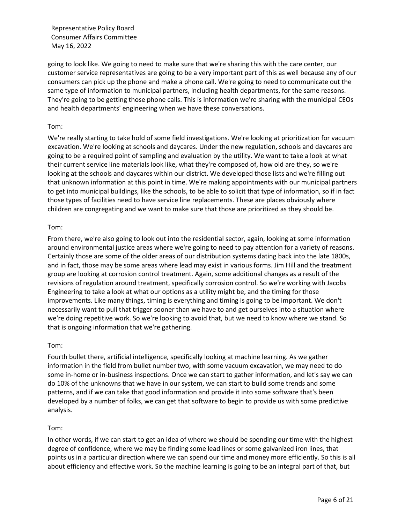going to look like. We going to need to make sure that we're sharing this with the care center, our customer service representatives are going to be a very important part of this as well because any of our consumers can pick up the phone and make a phone call. We're going to need to communicate out the same type of information to municipal partners, including health departments, for the same reasons. They're going to be getting those phone calls. This is information we're sharing with the municipal CEOs and health departments' engineering when we have these conversations.

### Tom:

We're really starting to take hold of some field investigations. We're looking at prioritization for vacuum excavation. We're looking at schools and daycares. Under the new regulation, schools and daycares are going to be a required point of sampling and evaluation by the utility. We want to take a look at what their current service line materials look like, what they're composed of, how old are they, so we're looking at the schools and daycares within our district. We developed those lists and we're filling out that unknown information at this point in time. We're making appointments with our municipal partners to get into municipal buildings, like the schools, to be able to solicit that type of information, so if in fact those types of facilities need to have service line replacements. These are places obviously where children are congregating and we want to make sure that those are prioritized as they should be.

### Tom:

From there, we're also going to look out into the residential sector, again, looking at some information around environmental justice areas where we're going to need to pay attention for a variety of reasons. Certainly those are some of the older areas of our distribution systems dating back into the late 1800s, and in fact, those may be some areas where lead may exist in various forms. Jim Hill and the treatment group are looking at corrosion control treatment. Again, some additional changes as a result of the revisions of regulation around treatment, specifically corrosion control. So we're working with Jacobs Engineering to take a look at what our options as a utility might be, and the timing for those improvements. Like many things, timing is everything and timing is going to be important. We don't necessarily want to pull that trigger sooner than we have to and get ourselves into a situation where we're doing repetitive work. So we're looking to avoid that, but we need to know where we stand. So that is ongoing information that we're gathering.

## Tom:

Fourth bullet there, artificial intelligence, specifically looking at machine learning. As we gather information in the field from bullet number two, with some vacuum excavation, we may need to do some in-home or in-business inspections. Once we can start to gather information, and let's say we can do 10% of the unknowns that we have in our system, we can start to build some trends and some patterns, and if we can take that good information and provide it into some software that's been developed by a number of folks, we can get that software to begin to provide us with some predictive analysis.

## Tom:

In other words, if we can start to get an idea of where we should be spending our time with the highest degree of confidence, where we may be finding some lead lines or some galvanized iron lines, that points us in a particular direction where we can spend our time and money more efficiently. So this is all about efficiency and effective work. So the machine learning is going to be an integral part of that, but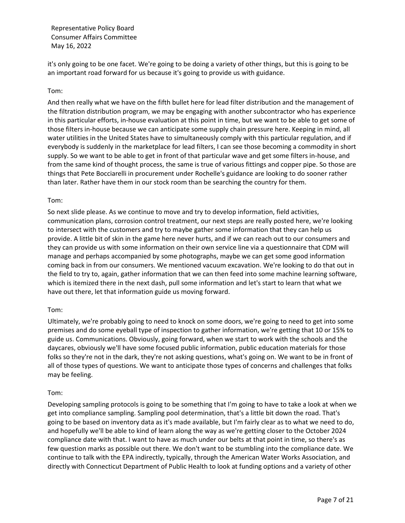it's only going to be one facet. We're going to be doing a variety of other things, but this is going to be an important road forward for us because it's going to provide us with guidance.

### Tom:

And then really what we have on the fifth bullet here for lead filter distribution and the management of the filtration distribution program, we may be engaging with another subcontractor who has experience in this particular efforts, in-house evaluation at this point in time, but we want to be able to get some of those filters in-house because we can anticipate some supply chain pressure here. Keeping in mind, all water utilities in the United States have to simultaneously comply with this particular regulation, and if everybody is suddenly in the marketplace for lead filters, I can see those becoming a commodity in short supply. So we want to be able to get in front of that particular wave and get some filters in-house, and from the same kind of thought process, the same is true of various fittings and copper pipe. So those are things that Pete Bocciarelli in procurement under Rochelle's guidance are looking to do sooner rather than later. Rather have them in our stock room than be searching the country for them.

#### Tom:

So next slide please. As we continue to move and try to develop information, field activities, communication plans, corrosion control treatment, our next steps are really posted here, we're looking to intersect with the customers and try to maybe gather some information that they can help us provide. A little bit of skin in the game here never hurts, and if we can reach out to our consumers and they can provide us with some information on their own service line via a questionnaire that CDM will manage and perhaps accompanied by some photographs, maybe we can get some good information coming back in from our consumers. We mentioned vacuum excavation. We're looking to do that out in the field to try to, again, gather information that we can then feed into some machine learning software, which is itemized there in the next dash, pull some information and let's start to learn that what we have out there, let that information guide us moving forward.

## Tom:

Ultimately, we're probably going to need to knock on some doors, we're going to need to get into some premises and do some eyeball type of inspection to gather information, we're getting that 10 or 15% to guide us. Communications. Obviously, going forward, when we start to work with the schools and the daycares, obviously we'll have some focused public information, public education materials for those folks so they're not in the dark, they're not asking questions, what's going on. We want to be in front of all of those types of questions. We want to anticipate those types of concerns and challenges that folks may be feeling.

#### Tom:

Developing sampling protocols is going to be something that I'm going to have to take a look at when we get into compliance sampling. Sampling pool determination, that's a little bit down the road. That's going to be based on inventory data as it's made available, but I'm fairly clear as to what we need to do, and hopefully we'll be able to kind of learn along the way as we're getting closer to the October 2024 compliance date with that. I want to have as much under our belts at that point in time, so there's as few question marks as possible out there. We don't want to be stumbling into the compliance date. We continue to talk with the EPA indirectly, typically, through the American Water Works Association, and directly with Connecticut Department of Public Health to look at funding options and a variety of other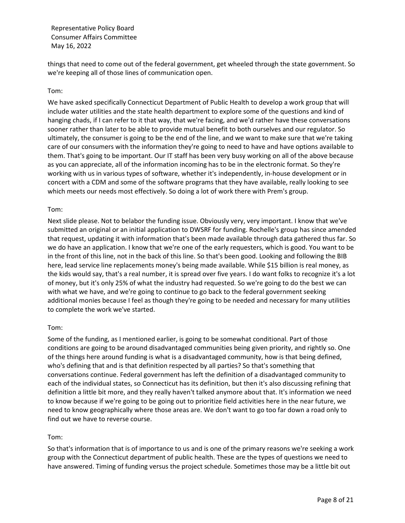things that need to come out of the federal government, get wheeled through the state government. So we're keeping all of those lines of communication open.

### Tom:

We have asked specifically Connecticut Department of Public Health to develop a work group that will include water utilities and the state health department to explore some of the questions and kind of hanging chads, if I can refer to it that way, that we're facing, and we'd rather have these conversations sooner rather than later to be able to provide mutual benefit to both ourselves and our regulator. So ultimately, the consumer is going to be the end of the line, and we want to make sure that we're taking care of our consumers with the information they're going to need to have and have options available to them. That's going to be important. Our IT staff has been very busy working on all of the above because as you can appreciate, all of the information incoming has to be in the electronic format. So they're working with us in various types of software, whether it's independently, in-house development or in concert with a CDM and some of the software programs that they have available, really looking to see which meets our needs most effectively. So doing a lot of work there with Prem's group.

### Tom:

Next slide please. Not to belabor the funding issue. Obviously very, very important. I know that we've submitted an original or an initial application to DWSRF for funding. Rochelle's group has since amended that request, updating it with information that's been made available through data gathered thus far. So we do have an application. I know that we're one of the early requesters, which is good. You want to be in the front of this line, not in the back of this line. So that's been good. Looking and following the BIB here, lead service line replacements money's being made available. While \$15 billion is real money, as the kids would say, that's a real number, it is spread over five years. I do want folks to recognize it's a lot of money, but it's only 25% of what the industry had requested. So we're going to do the best we can with what we have, and we're going to continue to go back to the federal government seeking additional monies because I feel as though they're going to be needed and necessary for many utilities to complete the work we've started.

#### Tom:

Some of the funding, as I mentioned earlier, is going to be somewhat conditional. Part of those conditions are going to be around disadvantaged communities being given priority, and rightly so. One of the things here around funding is what is a disadvantaged community, how is that being defined, who's defining that and is that definition respected by all parties? So that's something that conversations continue. Federal government has left the definition of a disadvantaged community to each of the individual states, so Connecticut has its definition, but then it's also discussing refining that definition a little bit more, and they really haven't talked anymore about that. It's information we need to know because if we're going to be going out to prioritize field activities here in the near future, we need to know geographically where those areas are. We don't want to go too far down a road only to find out we have to reverse course.

#### Tom:

So that's information that is of importance to us and is one of the primary reasons we're seeking a work group with the Connecticut department of public health. These are the types of questions we need to have answered. Timing of funding versus the project schedule. Sometimes those may be a little bit out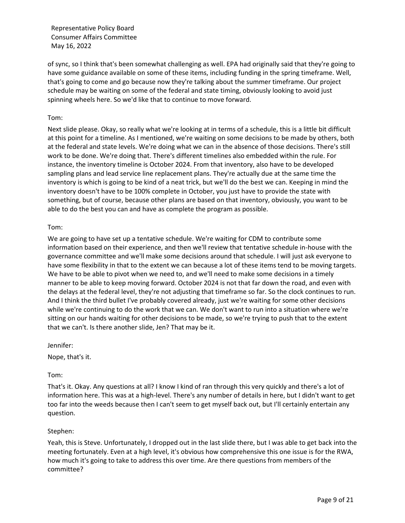of sync, so I think that's been somewhat challenging as well. EPA had originally said that they're going to have some guidance available on some of these items, including funding in the spring timeframe. Well, that's going to come and go because now they're talking about the summer timeframe. Our project schedule may be waiting on some of the federal and state timing, obviously looking to avoid just spinning wheels here. So we'd like that to continue to move forward.

### Tom:

Next slide please. Okay, so really what we're looking at in terms of a schedule, this is a little bit difficult at this point for a timeline. As I mentioned, we're waiting on some decisions to be made by others, both at the federal and state levels. We're doing what we can in the absence of those decisions. There's still work to be done. We're doing that. There's different timelines also embedded within the rule. For instance, the inventory timeline is October 2024. From that inventory, also have to be developed sampling plans and lead service line replacement plans. They're actually due at the same time the inventory is which is going to be kind of a neat trick, but we'll do the best we can. Keeping in mind the inventory doesn't have to be 100% complete in October, you just have to provide the state with something, but of course, because other plans are based on that inventory, obviously, you want to be able to do the best you can and have as complete the program as possible.

### Tom:

We are going to have set up a tentative schedule. We're waiting for CDM to contribute some information based on their experience, and then we'll review that tentative schedule in-house with the governance committee and we'll make some decisions around that schedule. I will just ask everyone to have some flexibility in that to the extent we can because a lot of these items tend to be moving targets. We have to be able to pivot when we need to, and we'll need to make some decisions in a timely manner to be able to keep moving forward. October 2024 is not that far down the road, and even with the delays at the federal level, they're not adjusting that timeframe so far. So the clock continues to run. And I think the third bullet I've probably covered already, just we're waiting for some other decisions while we're continuing to do the work that we can. We don't want to run into a situation where we're sitting on our hands waiting for other decisions to be made, so we're trying to push that to the extent that we can't. Is there another slide, Jen? That may be it.

Jennifer:

Nope, that's it.

## Tom:

That's it. Okay. Any questions at all? I know I kind of ran through this very quickly and there's a lot of information here. This was at a high-level. There's any number of details in here, but I didn't want to get too far into the weeds because then I can't seem to get myself back out, but I'll certainly entertain any question.

## Stephen:

Yeah, this is Steve. Unfortunately, I dropped out in the last slide there, but I was able to get back into the meeting fortunately. Even at a high level, it's obvious how comprehensive this one issue is for the RWA, how much it's going to take to address this over time. Are there questions from members of the committee?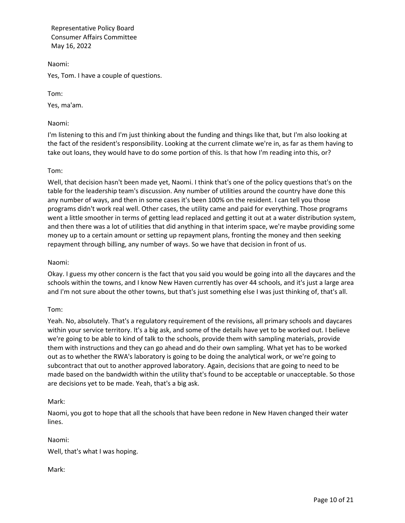Naomi:

Yes, Tom. I have a couple of questions.

Tom:

Yes, ma'am.

Naomi:

I'm listening to this and I'm just thinking about the funding and things like that, but I'm also looking at the fact of the resident's responsibility. Looking at the current climate we're in, as far as them having to take out loans, they would have to do some portion of this. Is that how I'm reading into this, or?

# Tom:

Well, that decision hasn't been made yet, Naomi. I think that's one of the policy questions that's on the table for the leadership team's discussion. Any number of utilities around the country have done this any number of ways, and then in some cases it's been 100% on the resident. I can tell you those programs didn't work real well. Other cases, the utility came and paid for everything. Those programs went a little smoother in terms of getting lead replaced and getting it out at a water distribution system, and then there was a lot of utilities that did anything in that interim space, we're maybe providing some money up to a certain amount or setting up repayment plans, fronting the money and then seeking repayment through billing, any number of ways. So we have that decision in front of us.

## Naomi:

Okay. I guess my other concern is the fact that you said you would be going into all the daycares and the schools within the towns, and I know New Haven currently has over 44 schools, and it's just a large area and I'm not sure about the other towns, but that's just something else I was just thinking of, that's all.

## Tom:

Yeah. No, absolutely. That's a regulatory requirement of the revisions, all primary schools and daycares within your service territory. It's a big ask, and some of the details have yet to be worked out. I believe we're going to be able to kind of talk to the schools, provide them with sampling materials, provide them with instructions and they can go ahead and do their own sampling. What yet has to be worked out as to whether the RWA's laboratory is going to be doing the analytical work, or we're going to subcontract that out to another approved laboratory. Again, decisions that are going to need to be made based on the bandwidth within the utility that's found to be acceptable or unacceptable. So those are decisions yet to be made. Yeah, that's a big ask.

## Mark:

Naomi, you got to hope that all the schools that have been redone in New Haven changed their water lines.

## Naomi:

Well, that's what I was hoping.

Mark: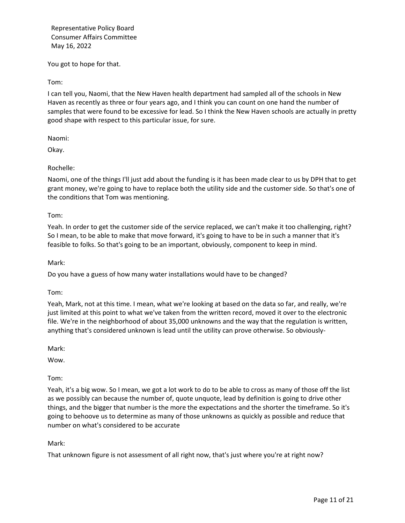You got to hope for that.

Tom:

I can tell you, Naomi, that the New Haven health department had sampled all of the schools in New Haven as recently as three or four years ago, and I think you can count on one hand the number of samples that were found to be excessive for lead. So I think the New Haven schools are actually in pretty good shape with respect to this particular issue, for sure.

Naomi:

Okay.

## Rochelle:

Naomi, one of the things I'll just add about the funding is it has been made clear to us by DPH that to get grant money, we're going to have to replace both the utility side and the customer side. So that's one of the conditions that Tom was mentioning.

Tom:

Yeah. In order to get the customer side of the service replaced, we can't make it too challenging, right? So I mean, to be able to make that move forward, it's going to have to be in such a manner that it's feasible to folks. So that's going to be an important, obviously, component to keep in mind.

Mark:

Do you have a guess of how many water installations would have to be changed?

Tom:

Yeah, Mark, not at this time. I mean, what we're looking at based on the data so far, and really, we're just limited at this point to what we've taken from the written record, moved it over to the electronic file. We're in the neighborhood of about 35,000 unknowns and the way that the regulation is written, anything that's considered unknown is lead until the utility can prove otherwise. So obviously-

Mark:

Wow.

Tom:

Yeah, it's a big wow. So I mean, we got a lot work to do to be able to cross as many of those off the list as we possibly can because the number of, quote unquote, lead by definition is going to drive other things, and the bigger that number is the more the expectations and the shorter the timeframe. So it's going to behoove us to determine as many of those unknowns as quickly as possible and reduce that number on what's considered to be accurate

Mark:

That unknown figure is not assessment of all right now, that's just where you're at right now?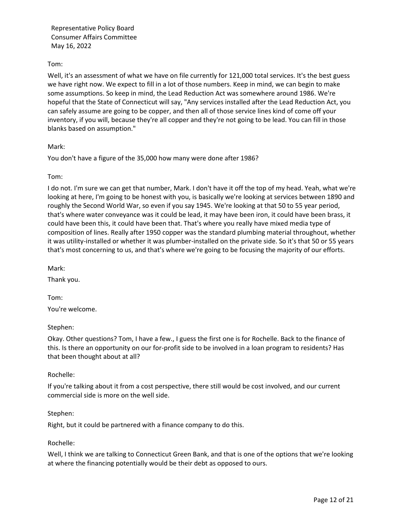## Tom:

Well, it's an assessment of what we have on file currently for 121,000 total services. It's the best guess we have right now. We expect to fill in a lot of those numbers. Keep in mind, we can begin to make some assumptions. So keep in mind, the Lead Reduction Act was somewhere around 1986. We're hopeful that the State of Connecticut will say, "Any services installed after the Lead Reduction Act, you can safely assume are going to be copper, and then all of those service lines kind of come off your inventory, if you will, because they're all copper and they're not going to be lead. You can fill in those blanks based on assumption."

### Mark:

You don't have a figure of the 35,000 how many were done after 1986?

### Tom:

I do not. I'm sure we can get that number, Mark. I don't have it off the top of my head. Yeah, what we're looking at here, I'm going to be honest with you, is basically we're looking at services between 1890 and roughly the Second World War, so even if you say 1945. We're looking at that 50 to 55 year period, that's where water conveyance was it could be lead, it may have been iron, it could have been brass, it could have been this, it could have been that. That's where you really have mixed media type of composition of lines. Really after 1950 copper was the standard plumbing material throughout, whether it was utility-installed or whether it was plumber-installed on the private side. So it's that 50 or 55 years that's most concerning to us, and that's where we're going to be focusing the majority of our efforts.

Mark:

Thank you.

Tom:

You're welcome.

#### Stephen:

Okay. Other questions? Tom, I have a few., I guess the first one is for Rochelle. Back to the finance of this. Is there an opportunity on our for-profit side to be involved in a loan program to residents? Has that been thought about at all?

#### Rochelle:

If you're talking about it from a cost perspective, there still would be cost involved, and our current commercial side is more on the well side.

#### Stephen:

Right, but it could be partnered with a finance company to do this.

## Rochelle:

Well, I think we are talking to Connecticut Green Bank, and that is one of the options that we're looking at where the financing potentially would be their debt as opposed to ours.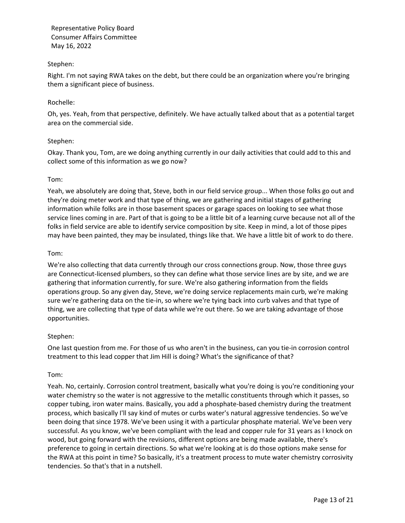## Stephen:

Right. I'm not saying RWA takes on the debt, but there could be an organization where you're bringing them a significant piece of business.

### Rochelle:

Oh, yes. Yeah, from that perspective, definitely. We have actually talked about that as a potential target area on the commercial side.

### Stephen:

Okay. Thank you, Tom, are we doing anything currently in our daily activities that could add to this and collect some of this information as we go now?

### Tom:

Yeah, we absolutely are doing that, Steve, both in our field service group... When those folks go out and they're doing meter work and that type of thing, we are gathering and initial stages of gathering information while folks are in those basement spaces or garage spaces on looking to see what those service lines coming in are. Part of that is going to be a little bit of a learning curve because not all of the folks in field service are able to identify service composition by site. Keep in mind, a lot of those pipes may have been painted, they may be insulated, things like that. We have a little bit of work to do there.

### Tom:

We're also collecting that data currently through our cross connections group. Now, those three guys are Connecticut-licensed plumbers, so they can define what those service lines are by site, and we are gathering that information currently, for sure. We're also gathering information from the fields operations group. So any given day, Steve, we're doing service replacements main curb, we're making sure we're gathering data on the tie-in, so where we're tying back into curb valves and that type of thing, we are collecting that type of data while we're out there. So we are taking advantage of those opportunities.

## Stephen:

One last question from me. For those of us who aren't in the business, can you tie-in corrosion control treatment to this lead copper that Jim Hill is doing? What's the significance of that?

#### Tom:

Yeah. No, certainly. Corrosion control treatment, basically what you're doing is you're conditioning your water chemistry so the water is not aggressive to the metallic constituents through which it passes, so copper tubing, iron water mains. Basically, you add a phosphate-based chemistry during the treatment process, which basically I'll say kind of mutes or curbs water's natural aggressive tendencies. So we've been doing that since 1978. We've been using it with a particular phosphate material. We've been very successful. As you know, we've been compliant with the lead and copper rule for 31 years as I knock on wood, but going forward with the revisions, different options are being made available, there's preference to going in certain directions. So what we're looking at is do those options make sense for the RWA at this point in time? So basically, it's a treatment process to mute water chemistry corrosivity tendencies. So that's that in a nutshell.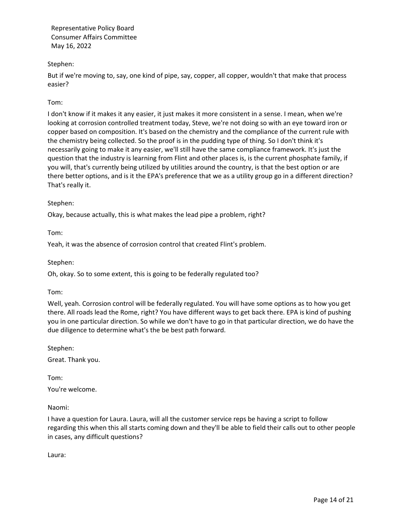## Stephen:

But if we're moving to, say, one kind of pipe, say, copper, all copper, wouldn't that make that process easier?

## Tom:

I don't know if it makes it any easier, it just makes it more consistent in a sense. I mean, when we're looking at corrosion controlled treatment today, Steve, we're not doing so with an eye toward iron or copper based on composition. It's based on the chemistry and the compliance of the current rule with the chemistry being collected. So the proof is in the pudding type of thing. So I don't think it's necessarily going to make it any easier, we'll still have the same compliance framework. It's just the question that the industry is learning from Flint and other places is, is the current phosphate family, if you will, that's currently being utilized by utilities around the country, is that the best option or are there better options, and is it the EPA's preference that we as a utility group go in a different direction? That's really it.

### Stephen:

Okay, because actually, this is what makes the lead pipe a problem, right?

Tom:

Yeah, it was the absence of corrosion control that created Flint's problem.

Stephen:

Oh, okay. So to some extent, this is going to be federally regulated too?

Tom:

Well, yeah. Corrosion control will be federally regulated. You will have some options as to how you get there. All roads lead the Rome, right? You have different ways to get back there. EPA is kind of pushing you in one particular direction. So while we don't have to go in that particular direction, we do have the due diligence to determine what's the be best path forward.

Stephen:

Great. Thank you.

Tom:

You're welcome.

Naomi:

I have a question for Laura. Laura, will all the customer service reps be having a script to follow regarding this when this all starts coming down and they'll be able to field their calls out to other people in cases, any difficult questions?

Laura: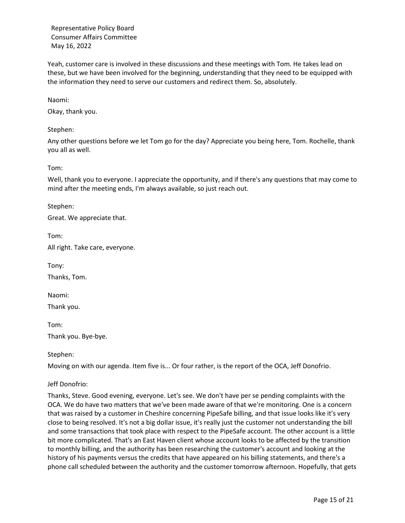Yeah, customer care is involved in these discussions and these meetings with Tom. He takes lead on these, but we have been involved for the beginning, understanding that they need to be equipped with the information they need to serve our customers and redirect them. So, absolutely.

Naomi:

Okay, thank you.

#### Stephen:

Any other questions before we let Tom go for the day? Appreciate you being here, Tom. Rochelle, thank you all as well.

Tom:

Well, thank you to everyone. I appreciate the opportunity, and if there's any questions that may come to mind after the meeting ends, I'm always available, so just reach out.

Stephen:

Great. We appreciate that.

Tom:

All right. Take care, everyone.

Tony:

Thanks, Tom.

Naomi:

Thank you.

Tom: Thank you. Bye-bye.

Stephen:

Moving on with our agenda. Item five is... Or four rather, is the report of the OCA, Jeff Donofrio.

#### Jeff Donofrio:

Thanks, Steve. Good evening, everyone. Let's see. We don't have per se pending complaints with the OCA. We do have two matters that we've been made aware of that we're monitoring. One is a concern that was raised by a customer in Cheshire concerning PipeSafe billing, and that issue looks like it's very close to being resolved. It's not a big dollar issue, it's really just the customer not understanding the bill and some transactions that took place with respect to the PipeSafe account. The other account is a little bit more complicated. That's an East Haven client whose account looks to be affected by the transition to monthly billing, and the authority has been researching the customer's account and looking at the history of his payments versus the credits that have appeared on his billing statements, and there's a phone call scheduled between the authority and the customer tomorrow afternoon. Hopefully, that gets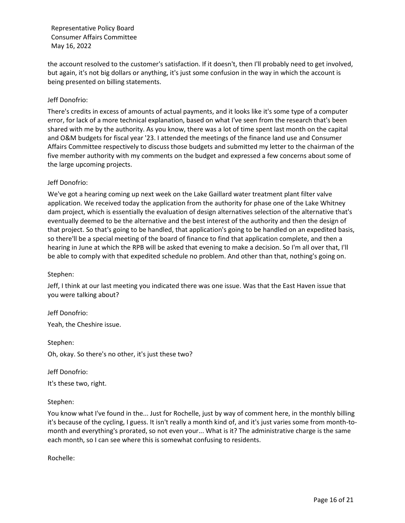the account resolved to the customer's satisfaction. If it doesn't, then I'll probably need to get involved, but again, it's not big dollars or anything, it's just some confusion in the way in which the account is being presented on billing statements.

## Jeff Donofrio:

There's credits in excess of amounts of actual payments, and it looks like it's some type of a computer error, for lack of a more technical explanation, based on what I've seen from the research that's been shared with me by the authority. As you know, there was a lot of time spent last month on the capital and O&M budgets for fiscal year '23. I attended the meetings of the finance land use and Consumer Affairs Committee respectively to discuss those budgets and submitted my letter to the chairman of the five member authority with my comments on the budget and expressed a few concerns about some of the large upcoming projects.

## Jeff Donofrio:

We've got a hearing coming up next week on the Lake Gaillard water treatment plant filter valve application. We received today the application from the authority for phase one of the Lake Whitney dam project, which is essentially the evaluation of design alternatives selection of the alternative that's eventually deemed to be the alternative and the best interest of the authority and then the design of that project. So that's going to be handled, that application's going to be handled on an expedited basis, so there'll be a special meeting of the board of finance to find that application complete, and then a hearing in June at which the RPB will be asked that evening to make a decision. So I'm all over that, I'll be able to comply with that expedited schedule no problem. And other than that, nothing's going on.

#### Stephen:

Jeff, I think at our last meeting you indicated there was one issue. Was that the East Haven issue that you were talking about?

Jeff Donofrio: Yeah, the Cheshire issue.

Stephen: Oh, okay. So there's no other, it's just these two?

Jeff Donofrio: It's these two, right.

## Stephen:

You know what I've found in the... Just for Rochelle, just by way of comment here, in the monthly billing it's because of the cycling, I guess. It isn't really a month kind of, and it's just varies some from month-tomonth and everything's prorated, so not even your... What is it? The administrative charge is the same each month, so I can see where this is somewhat confusing to residents.

Rochelle: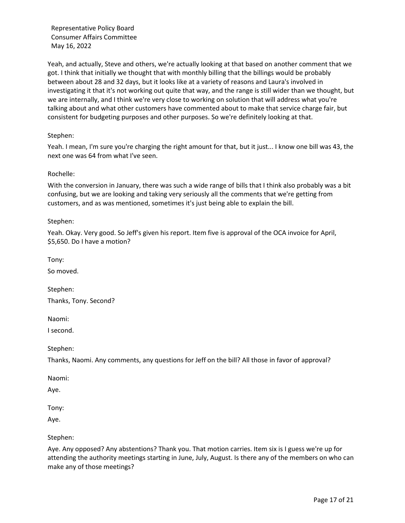Yeah, and actually, Steve and others, we're actually looking at that based on another comment that we got. I think that initially we thought that with monthly billing that the billings would be probably between about 28 and 32 days, but it looks like at a variety of reasons and Laura's involved in investigating it that it's not working out quite that way, and the range is still wider than we thought, but we are internally, and I think we're very close to working on solution that will address what you're talking about and what other customers have commented about to make that service charge fair, but consistent for budgeting purposes and other purposes. So we're definitely looking at that.

## Stephen:

Yeah. I mean, I'm sure you're charging the right amount for that, but it just... I know one bill was 43, the next one was 64 from what I've seen.

## Rochelle:

With the conversion in January, there was such a wide range of bills that I think also probably was a bit confusing, but we are looking and taking very seriously all the comments that we're getting from customers, and as was mentioned, sometimes it's just being able to explain the bill.

Stephen:

Yeah. Okay. Very good. So Jeff's given his report. Item five is approval of the OCA invoice for April, \$5,650. Do I have a motion?

Tony:

So moved.

Stephen: Thanks, Tony. Second?

Naomi:

I second.

Stephen:

Thanks, Naomi. Any comments, any questions for Jeff on the bill? All those in favor of approval?

Naomi:

Aye.

Tony:

Aye.

Stephen:

Aye. Any opposed? Any abstentions? Thank you. That motion carries. Item six is I guess we're up for attending the authority meetings starting in June, July, August. Is there any of the members on who can make any of those meetings?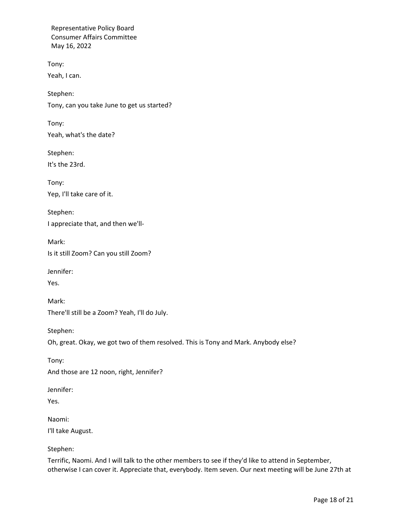Tony: Yeah, I can.

Stephen: Tony, can you take June to get us started?

Tony: Yeah, what's the date?

Stephen:

It's the 23rd.

Tony: Yep, I'll take care of it.

Stephen: I appreciate that, and then we'll-

Mark: Is it still Zoom? Can you still Zoom?

Jennifer:

Yes.

Mark: There'll still be a Zoom? Yeah, I'll do July.

Stephen:

Oh, great. Okay, we got two of them resolved. This is Tony and Mark. Anybody else?

Tony: And those are 12 noon, right, Jennifer?

Jennifer:

Yes.

Naomi: I'll take August.

Stephen:

Terrific, Naomi. And I will talk to the other members to see if they'd like to attend in September, otherwise I can cover it. Appreciate that, everybody. Item seven. Our next meeting will be June 27th at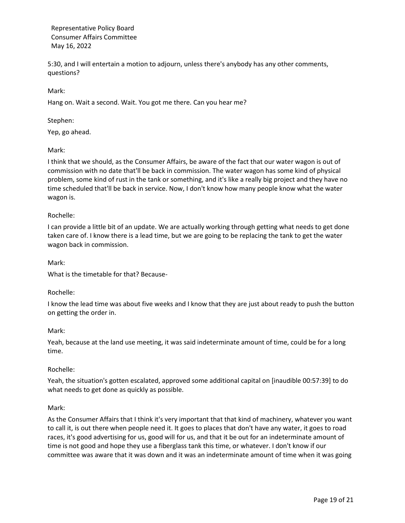5:30, and I will entertain a motion to adjourn, unless there's anybody has any other comments, questions?

Mark:

Hang on. Wait a second. Wait. You got me there. Can you hear me?

#### Stephen:

Yep, go ahead.

### Mark:

I think that we should, as the Consumer Affairs, be aware of the fact that our water wagon is out of commission with no date that'll be back in commission. The water wagon has some kind of physical problem, some kind of rust in the tank or something, and it's like a really big project and they have no time scheduled that'll be back in service. Now, I don't know how many people know what the water wagon is.

#### Rochelle:

I can provide a little bit of an update. We are actually working through getting what needs to get done taken care of. I know there is a lead time, but we are going to be replacing the tank to get the water wagon back in commission.

#### Mark:

What is the timetable for that? Because-

#### Rochelle:

I know the lead time was about five weeks and I know that they are just about ready to push the button on getting the order in.

#### Mark:

Yeah, because at the land use meeting, it was said indeterminate amount of time, could be for a long time.

#### Rochelle:

Yeah, the situation's gotten escalated, approved some additional capital on [inaudible 00:57:39] to do what needs to get done as quickly as possible.

#### Mark:

As the Consumer Affairs that I think it's very important that that kind of machinery, whatever you want to call it, is out there when people need it. It goes to places that don't have any water, it goes to road races, it's good advertising for us, good will for us, and that it be out for an indeterminate amount of time is not good and hope they use a fiberglass tank this time, or whatever. I don't know if our committee was aware that it was down and it was an indeterminate amount of time when it was going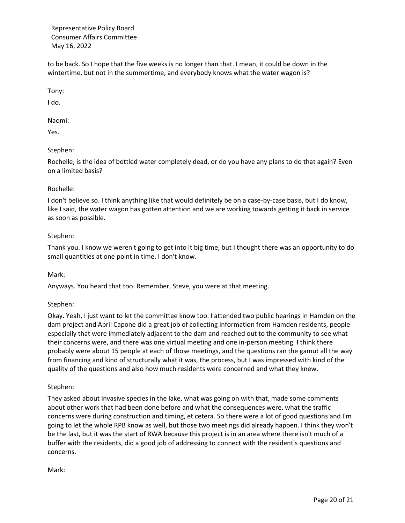to be back. So I hope that the five weeks is no longer than that. I mean, it could be down in the wintertime, but not in the summertime, and everybody knows what the water wagon is?

Tony:

I do.

Naomi:

Yes.

# Stephen:

Rochelle, is the idea of bottled water completely dead, or do you have any plans to do that again? Even on a limited basis?

# Rochelle:

I don't believe so. I think anything like that would definitely be on a case-by-case basis, but I do know, like I said, the water wagon has gotten attention and we are working towards getting it back in service as soon as possible.

# Stephen:

Thank you. I know we weren't going to get into it big time, but I thought there was an opportunity to do small quantities at one point in time. I don't know.

Mark:

Anyways. You heard that too. Remember, Steve, you were at that meeting.

## Stephen:

Okay. Yeah, I just want to let the committee know too. I attended two public hearings in Hamden on the dam project and April Capone did a great job of collecting information from Hamden residents, people especially that were immediately adjacent to the dam and reached out to the community to see what their concerns were, and there was one virtual meeting and one in-person meeting. I think there probably were about 15 people at each of those meetings, and the questions ran the gamut all the way from financing and kind of structurally what it was, the process, but I was impressed with kind of the quality of the questions and also how much residents were concerned and what they knew.

## Stephen:

They asked about invasive species in the lake, what was going on with that, made some comments about other work that had been done before and what the consequences were, what the traffic concerns were during construction and timing, et cetera. So there were a lot of good questions and I'm going to let the whole RPB know as well, but those two meetings did already happen. I think they won't be the last, but it was the start of RWA because this project is in an area where there isn't much of a buffer with the residents, did a good job of addressing to connect with the resident's questions and concerns.

Mark: